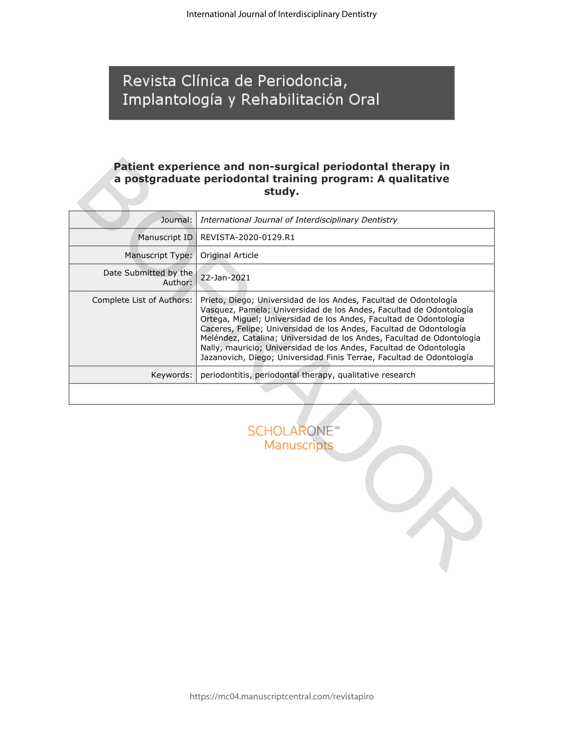# Revista Clínica de Periodoncia, Implantología y Rehabilitación Oral

## **Patient experience and non-surgical periodontal therapy in a postgraduate periodontal training program: A qualitative study.**

|                                  | Patient experience and non-surgical periodontal therapy in<br>a postgraduate periodontal training program: A qualitative<br>study.                                                                                                                                                                                                                                                                                                                                                                       |  |
|----------------------------------|----------------------------------------------------------------------------------------------------------------------------------------------------------------------------------------------------------------------------------------------------------------------------------------------------------------------------------------------------------------------------------------------------------------------------------------------------------------------------------------------------------|--|
| Journal:                         | International Journal of Interdisciplinary Dentistry                                                                                                                                                                                                                                                                                                                                                                                                                                                     |  |
| Manuscript ID                    | REVISTA-2020-0129.R1                                                                                                                                                                                                                                                                                                                                                                                                                                                                                     |  |
| Manuscript Type:                 | Original Article                                                                                                                                                                                                                                                                                                                                                                                                                                                                                         |  |
| Date Submitted by the<br>Author: | 22-Jan-2021                                                                                                                                                                                                                                                                                                                                                                                                                                                                                              |  |
| Complete List of Authors:        | Prieto, Diego; Universidad de los Andes, Facultad de Odontología<br>Vasquez, Pamela; Universidad de los Andes, Facultad de Odontología<br>Ortega, Miguel; Universidad de los Andes, Facultad de Odontología<br>Caceres, Felipe; Universidad de los Andes, Facultad de Odontología<br>Meléndez, Catalina; Universidad de los Andes, Facultad de Odontología<br>Nally, mauricio; Universidad de los Andes, Facultad de Odontología<br>Jazanovich, Diego; Universidad Finis Terrae, Facultad de Odontología |  |
| Keywords:                        | periodontitis, periodontal therapy, qualitative research                                                                                                                                                                                                                                                                                                                                                                                                                                                 |  |
|                                  |                                                                                                                                                                                                                                                                                                                                                                                                                                                                                                          |  |
|                                  | <b>SCHOLARONE</b> <sup>®</sup><br><b>Manuscripts</b>                                                                                                                                                                                                                                                                                                                                                                                                                                                     |  |

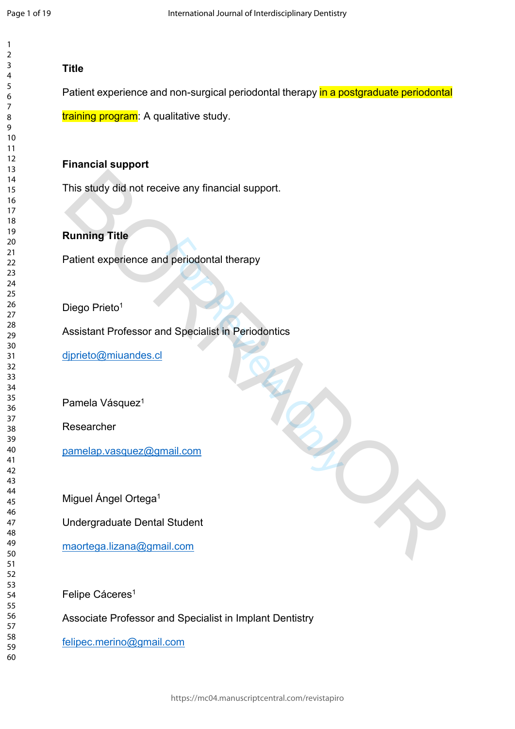$\mathbf{1}$ 

## **Title**

Patient experience and non-surgical periodontal therapy in a postgraduate periodontal

training program: A qualitative study.

## **Financial support**

This study did not receive any financial support.

## **Running Title**

Patient experience and periodontal therapy

Diego Prieto<sup>1</sup>

Periodontal therapy<br>
de Specialist in Periodontics<br>
Hail.com Assistant Professor and Specialist in Periodontics This study did not receive any financial support.<br>
Running Title<br>
Patient experience and periodontal therapy<br>
Piego Prieto'<br>
Assistant Professor and Specialist in Periodontics<br>
Pamela Vasquez'<br>
Pamela Vasquez'<br>
Pamela Vasq

djprieto@miuandes.cl

Pamela Vásquez<sup>1</sup>

Researcher

pamelap.vasquez@gmail.com

Miguel Ángel Ortega<sup>1</sup>

Undergraduate Dental Student

maortega.lizana@gmail.com

Felipe Cáceres 1

Associate Professor and Specialist in Implant Dentistry

[felipec.merino@gmail.com](mailto:felipec.merino@gmail.com)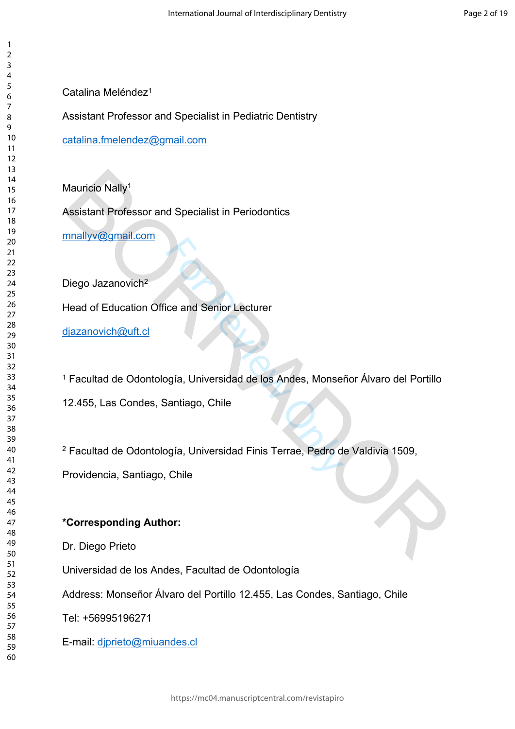Catalina Meléndez<sup>1</sup>

Assistant Professor and Specialist in Pediatric Dentistry

[catalina.fmelendez@gmail.com](mailto:catalina.fmelendez@gmail.com)

Mauricio Nally<sup>1</sup>

Assistant Professor and Specialist in Periodontics

mnallyv@gmail.com

Diego Jazanovich<sup>2</sup>

Head of Education Office and Senior Lecturer

djazanovich@uft.cl

ice and Senior Lecturer<br>Pagía, Universidad de los Andes, Monse<br>Santiago, Chile<br>Pagía, Universidad Finis Terrae, Pedro d<br>Chile Facultad de Odontología, Universidad de los Andes, Monseñor Álvaro del Portillo Mauricio Nally!<br>
Masistant Professor and Specialist in Periodontics<br>
Diego Jazanovich<sup>2</sup><br>
Pead of Education Office and Senior Lecturer<br>
Ijazanovich@uft.d<br>
Facultad de Odontología, Universidad de los Andes, Monseñor Álvaro

12.455, Las Condes, Santiago, Chile

Facultad de Odontología, Universidad Finis Terrae, Pedro de Valdivia 1509,

Providencia, Santiago, Chile

# **\*Corresponding Author:**

Dr. Diego Prieto

Universidad de los Andes, Facultad de Odontología

Address: Monseñor Álvaro del Portillo 12.455, Las Condes, Santiago, Chile

Tel: +56995196271

E-mail: [djprieto@miuandes.cl](mailto:djprieto@miuandes.cl)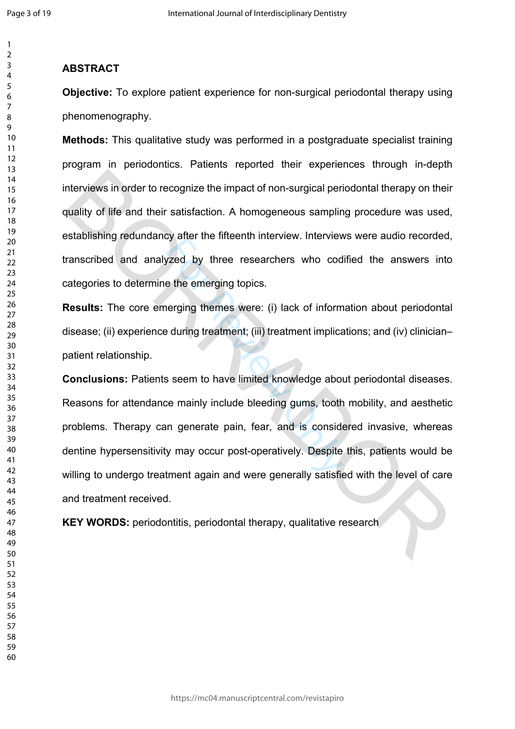$\mathbf{1}$  $\overline{2}$ 

#### $\overline{3}$  $\overline{4}$  $\overline{7}$  $\mathsf{Q}$

 

## **ABSTRACT**

**Objective:** To explore patient experience for non-surgical periodontal therapy using phenomenography.

**Methods:** This qualitative study was performed in a postgraduate specialist training program in periodontics. Patients reported their experiences through in-depth interviews in order to recognize the impact of non-surgical periodontal therapy on their quality of life and their satisfaction. A homogeneous sampling procedure was used, establishing redundancy after the fifteenth interview. Interviews were audio recorded, transcribed and analyzed by three researchers who codified the answers into categories to determine the emerging topics.

**Results:** The core emerging themes were: (i) lack of information about periodontal disease; (ii) experience during treatment; (iii) treatment implications; and (iv) clinicianpatient relationship.

Solved by three researchers who code the emerging topics.<br>
Here is exercise who code the emerging themes were: (i) lack of inform<br>
Eduring treatment; (iii) treatment implicary<br>
Solved Solved Solved Manuscule Manuscule and **Conclusions:** Patients seem to have limited knowledge about periodontal diseases. Reasons for attendance mainly include bleeding gums, tooth mobility, and aesthetic problems. Therapy can generate pain, fear, and is considered invasive, whereas dentine hypersensitivity may occur post-operatively. Despite this, patients would be willing to undergo treatment again and were generally satisfied with the level of care and treatment received. nterviews in order to recognize the impact of non-surgical periodontal therapy on their<br>therviews in order to recognize the impact of non-surgical periodontal therapy on their<br>publity of life and their satisfaction. A homo

**KEY WORDS:** periodontitis, periodontal therapy, qualitative research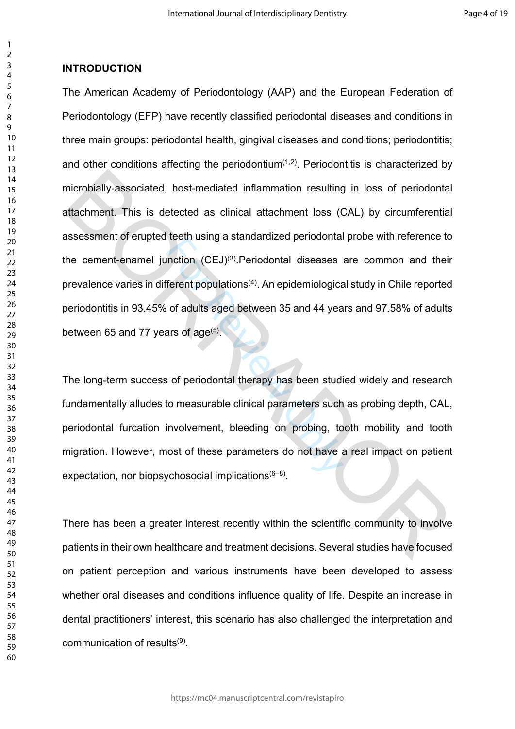## **INTRODUCTION**

The American Academy of Periodontology (AAP) and the European Federation of Periodontology (EFP) have recently classified periodontal diseases and conditions in three main groups: periodontal health, gingival diseases and conditions; periodontitis; and other conditions affecting the periodontium<sup> $(1,2)$ </sup>. Periodontitis is characterized by microbially‐associated, host‐mediated inflammation resulting in loss of periodontal attachment. This is detected as clinical attachment loss (CAL) by circumferential assessment of erupted teeth using a standardized periodontal probe with reference to the cement-enamel junction (CEJ)<sup>(3)</sup>. Periodontal diseases are common and their prevalence varies in different populations(4). An epidemiological study in Chile reported periodontitis in 93.45% of adults aged between 35 and 44 years and 97.58% of adults between 65 and 77 years of age $(5)$ . microbially-associated, host-mediated inflammation resulting in loss of periodontal<br>attachment. This is detected as clinical attachment loss (CAL) by circumferential<br>assessment of erupted teeth using a standardized periodo

For all using a standardized periodomal<br>inction  $(CEJ)^{(3)}$ . Periodontal diseases<br>ferent populations<sup>(4)</sup>. An epidemiologica<br>of adults aged between 35 and 44 yea<br>ars of age<sup>(5)</sup>.<br>is of periodontal therapy has been studi<br>to The long-term success of periodontal therapy has been studied widely and research fundamentally alludes to measurable clinical parameters such as probing depth, CAL, periodontal furcation involvement, bleeding on probing, tooth mobility and tooth migration. However, most of these parameters do not have a real impact on patient expectation, nor biopsychosocial implications  $(6-8)$ .

There has been a greater interest recently within the scientific community to involve patients in their own healthcare and treatment decisions. Several studies have focused on patient perception and various instruments have been developed to assess whether oral diseases and conditions influence quality of life. Despite an increase in dental practitioners' interest, this scenario has also challenged the interpretation and communication of results<sup>(9)</sup>.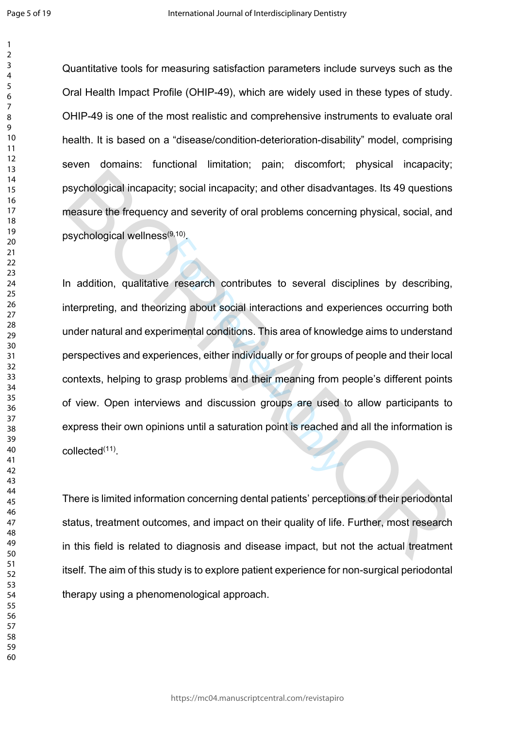$\mathbf{1}$ 

Quantitative tools for measuring satisfaction parameters include surveys such as the Oral Health Impact Profile (OHIP-49), which are widely used in these types of study. OHIP-49 is one of the most realistic and comprehensive instruments to evaluate oral health. It is based on a "disease/condition-deterioration-disability" model, comprising seven domains: functional limitation; pain; discomfort; physical incapacity; psychological incapacity; social incapacity; and other disadvantages. Its 49 questions measure the frequency and severity of oral problems concerning physical, social, and psychological wellness<sup>(9,10)</sup>.

Presearch contributes to several distributions and experimental conditions. This area of knowler interactions and experimental conditions. This area of knowler interactions and their meaning from provision and discussion g In addition, qualitative research contributes to several disciplines by describing, interpreting, and theorizing about social interactions and experiences occurring both under natural and experimental conditions. This area of knowledge aims to understand perspectives and experiences, either individually or for groups of people and their local contexts, helping to grasp problems and their meaning from people's different points of view. Open interviews and discussion groups are used to allow participants to express their own opinions until a saturation point is reached and all the information is collected(11) . by chological incapacity; social incapacity; and other disadvantages. Its 49 questions<br>measure the frequency and severity of oral problems concerning physical, social, and<br>psychological wellness<sup>(a, to</sup>).<br>The addition, qua

There is limited information concerning dental patients' perceptions of their periodontal status, treatment outcomes, and impact on their quality of life. Further, most research in this field is related to diagnosis and disease impact, but not the actual treatment itself. The aim of this study is to explore patient experience for non-surgical periodontal therapy using a phenomenological approach.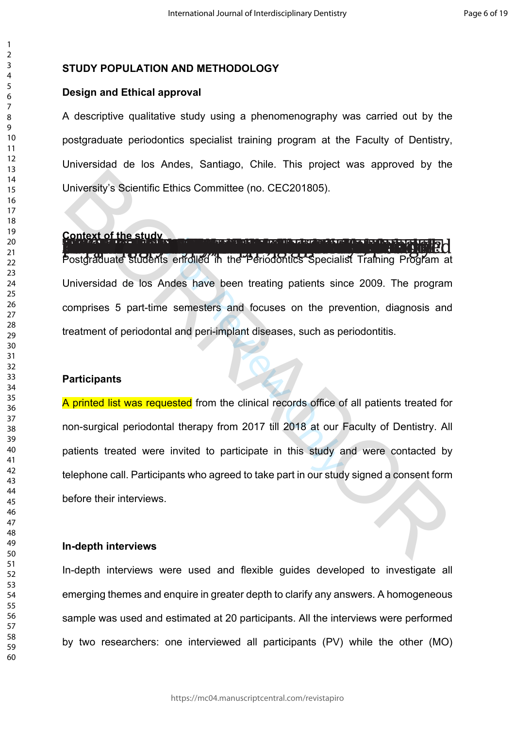## **STUDY POPULATION AND METHODOLOGY**

#### **Design and Ethical approval**

A descriptive qualitative study using a phenomenography was carried out by the postgraduate periodontics specialist training program at the Faculty of Dentistry, Universidad de los Andes, Santiago, Chile. This project was approved by the University's Scientific Ethics Committee (no. CEC201805).

# Context of the study and context to the character of the first study

For Revise of States of Specialists<br>
For Revised on the Periodontics<br>
Specialist<br>
Semesters and focuses on the presenting patients<br>
and peri-implant diseases, such as p<br>
Revised from the clinical records office of<br>
all the Postgraduate students enrolled in the Periodontics Specialist Training Program at Universidad de los Andes have been treating patients since 2009. The program comprises 5 part-time semesters and focuses on the prevention, diagnosis and treatment of periodontal and peri-implant diseases, such as periodontitis.

#### **Participants**

A printed list was requested from the clinical records office of all patients treated for non-surgical periodontal therapy from 2017 till 2018 at our Faculty of Dentistry. All patients treated were invited to participate in this study and were contacted by telephone call. Participants who agreed to take part in our study signed a consent form before their interviews. University's Scientific Ethics Committee (no. CEC201805).<br>
Context of the study<br>
Dostgraduate Students enrolled in the Penodontics Specialist Training Program at<br>
Universidad de los Andes have been treating patients since

## **In-depth interviews**

In-depth interviews were used and flexible guides developed to investigate all emerging themes and enquire in greater depth to clarify any answers. A homogeneous sample was used and estimated at 20 participants. All the interviews were performed by two researchers: one interviewed all participants (PV) while the other (MO)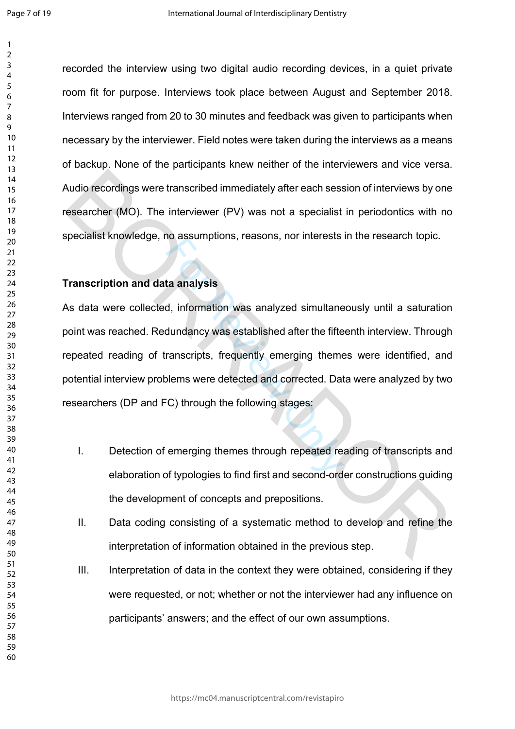$\mathbf{1}$  $\overline{2}$ 

recorded the interview using two digital audio recording devices, in a quiet private room fit for purpose. Interviews took place between August and September 2018. Interviews ranged from 20 to 30 minutes and feedback was given to participants when necessary by the interviewer. Field notes were taken during the interviews as a means of backup. None of the participants knew neither of the interviewers and vice versa. Audio recordings were transcribed immediately after each session of interviews by one researcher (MO). The interviewer (PV) was not a specialist in periodontics with no specialist knowledge, no assumptions, reasons, nor interests in the research topic.

#### **Transcription and data analysis**

Example in the assumptions, reasons, nor interests<br>and analysis<br>d, information was analyzed simultane<br>dundancy was established after the fifte<br>ranscripts, frequently emerging theme<br>olems were detected and corrected. Dat<br>C) As data were collected, information was analyzed simultaneously until a saturation point was reached. Redundancy was established after the fifteenth interview. Through repeated reading of transcripts, frequently emerging themes were identified, and potential interview problems were detected and corrected. Data were analyzed by two researchers (DP and FC) through the following stages: Audio recordings were transcribed immediately after each session of interviews by one<br>
sesarcher (MO). The interviewer (PV) was not a specialist in periodontics with no<br>
specialist knowledge, no assumptions, reasons, nor i

- I. Detection of emerging themes through repeated reading of transcripts and elaboration of typologies to find first and second-order constructions guiding the development of concepts and prepositions.
- II. Data coding consisting of a systematic method to develop and refine the interpretation of information obtained in the previous step.
- III. Interpretation of data in the context they were obtained, considering if they were requested, or not; whether or not the interviewer had any influence on participants' answers; and the effect of our own assumptions.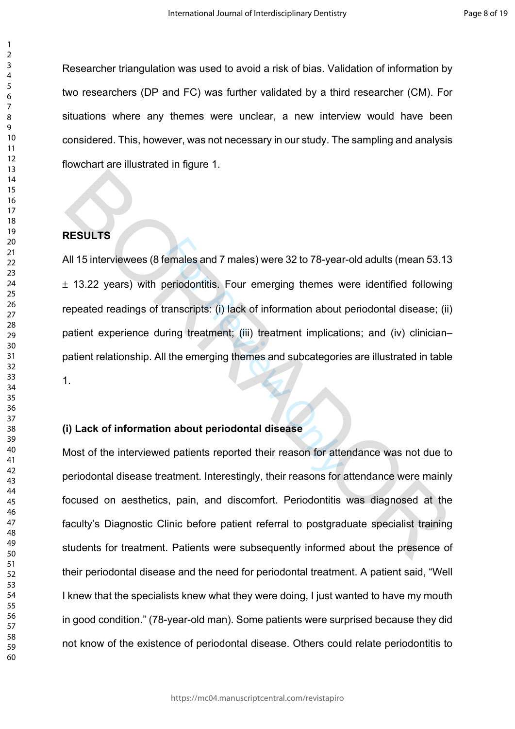Researcher triangulation was used to avoid a risk of bias. Validation of information by two researchers (DP and FC) was further validated by a third researcher (CM). For situations where any themes were unclear, a new interview would have been considered. This, however, was not necessary in our study. The sampling and analysis flowchart are illustrated in figure 1.

## **RESULTS**

emales and 7 males) were 32 to 78-year<br>eriodontitis. Four emerging themes w<br>ranscripts: (i) lack of information about<br>ring treatment; (iii) treatment implicati<br>the emerging themes and subcategorie<br>n about periodontal disea All 15 interviewees (8 females and 7 males) were 32 to 78-year-old adults (mean 53.13  $\pm$  13.22 years) with periodontitis. Four emerging themes were identified following repeated readings of transcripts: (i) lack of information about periodontal disease; (ii) patient experience during treatment; (iii) treatment implications; and (iv) clinician– patient relationship. All the emerging themes and subcategories are illustrated in table 1. RESULTS<br>
All 15 interviewees (8 females and 7 males) were 32 to 78-year-old adults (mean 53.13<br>
11.13.22 years) with periodontitis, Four emerging themes were identified following<br>
repeated readings of transcripts: (i) lack

## **(i) Lack of information about periodontal disease**

Most of the interviewed patients reported their reason for attendance was not due to periodontal disease treatment. Interestingly, their reasons for attendance were mainly focused on aesthetics, pain, and discomfort. Periodontitis was diagnosed at the faculty's Diagnostic Clinic before patient referral to postgraduate specialist training students for treatment. Patients were subsequently informed about the presence of their periodontal disease and the need for periodontal treatment. A patient said, "Well I knew that the specialists knew what they were doing, I just wanted to have my mouth in good condition." (78-year-old man). Some patients were surprised because they did not know of the existence of periodontal disease. Others could relate periodontitis to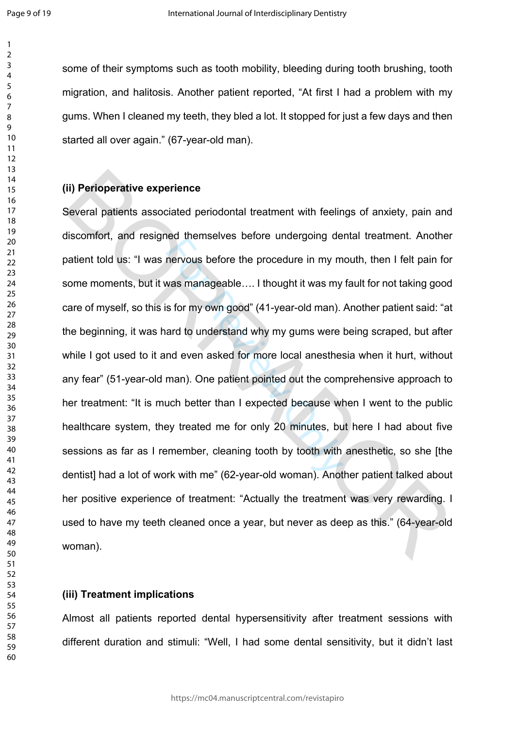$\mathbf{1}$  $\overline{2}$  $\overline{3}$  $\overline{4}$  $\overline{7}$  $\mathsf{Q}$ 

some of their symptoms such as tooth mobility, bleeding during tooth brushing, tooth migration, and halitosis. Another patient reported, "At first I had a problem with my gums. When I cleaned my teeth, they bled a lot. It stopped for just a few days and then started all over again." (67-year-old man).

#### **(ii) Perioperative experience**

nervous before the procedure in my m<br>was manageable.... I thought it was my<br>s for my own good" (41-year-old man).<br>ard to understand why my gums were<br>nd even asked for more local anesthes<br>man). One patient pointed out the c Several patients associated periodontal treatment with feelings of anxiety, pain and discomfort, and resigned themselves before undergoing dental treatment. Another patient told us: "I was nervous before the procedure in my mouth, then I felt pain for some moments, but it was manageable…. I thought it was my fault for not taking good care of myself, so this is for my own good" (41-year-old man). Another patient said: "at the beginning, it was hard to understand why my gums were being scraped, but after while I got used to it and even asked for more local anesthesia when it hurt, without any fear" (51-year-old man). One patient pointed out the comprehensive approach to her treatment: "It is much better than I expected because when I went to the public healthcare system, they treated me for only 20 minutes, but here I had about five sessions as far as I remember, cleaning tooth by tooth with anesthetic, so she [the dentist] had a lot of work with me" (62-year-old woman). Another patient talked about her positive experience of treatment: "Actually the treatment was very rewarding. I used to have my teeth cleaned once a year, but never as deep as this." (64-year-old woman). (ii) Perioperative experience<br>Several patients associated periodontal treatment with feelings of anxiety, pain and<br>discomfort, and resigned themselves before undergoing dental treatment. Another<br>patient told us: "I was ner

## **(iii) Treatment implications**

Almost all patients reported dental hypersensitivity after treatment sessions with different duration and stimuli: "Well, I had some dental sensitivity, but it didn't last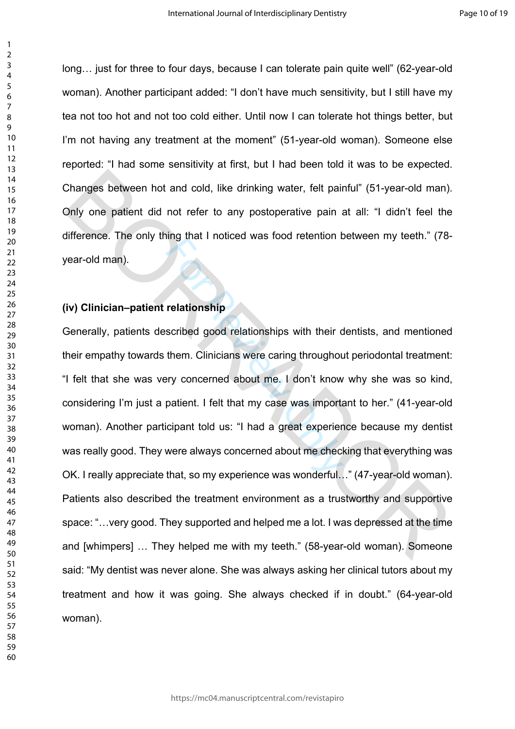long… just for three to four days, because I can tolerate pain quite well" (62-year-old woman). Another participant added: "I don't have much sensitivity, but I still have my tea not too hot and not too cold either. Until now I can tolerate hot things better, but I'm not having any treatment at the moment" (51-year-old woman). Someone else reported: "I had some sensitivity at first, but I had been told it was to be expected. Changes between hot and cold, like drinking water, felt painful" (51-year-old man). Only one patient did not refer to any postoperative pain at all: "I didn't feel the difference. The only thing that I noticed was food retention between my teeth." (78 year-old man).

## **(iv) Clinician–patient relationship**

relationship<br>scribed good relationships with their c<br>them. Clinicians were caring throughou<br>ery concerned about me. I don't know<br>patient. I felt that my case was importations<br>intervalsed with a great experience was wonderf Generally, patients described good relationships with their dentists, and mentioned their empathy towards them. Clinicians were caring throughout periodontal treatment: "I felt that she was very concerned about me. I don't know why she was so kind, considering I'm just a patient. I felt that my case was important to her." (41-year-old woman). Another participant told us: "I had a great experience because my dentist was really good. They were always concerned about me checking that everything was OK. I really appreciate that, so my experience was wonderful…" (47-year-old woman). Patients also described the treatment environment as a trustworthy and supportive space: "…very good. They supported and helped me a lot. I was depressed at the time and [whimpers] … They helped me with my teeth." (58-year-old woman). Someone said: "My dentist was never alone. She was always asking her clinical tutors about my treatment and how it was going. She always checked if in doubt." (64-year-old woman). Changes between hot and cold, like drinking water, felt painful" (51-year-old man).<br>
Doly one patient did not refer to any postoperative pain at all: "I didn't feel the<br>
difference. The only thing that I noticed was food r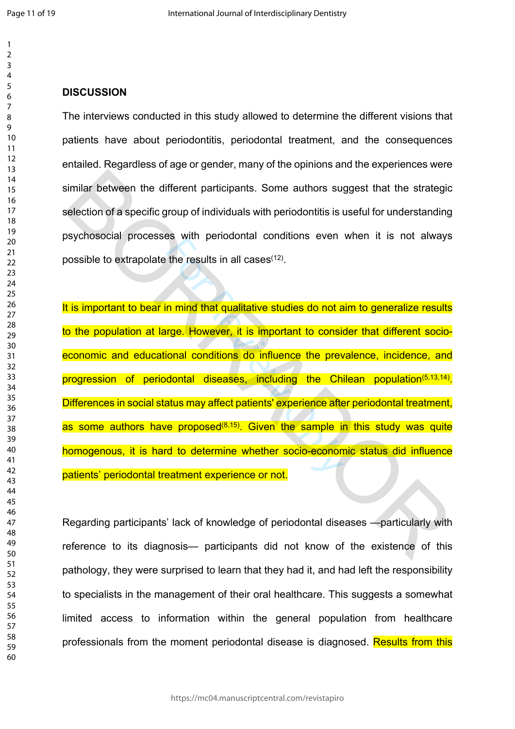$\mathbf{1}$ 

## **DISCUSSION**

The interviews conducted in this study allowed to determine the different visions that patients have about periodontitis, periodontal treatment, and the consequences entailed. Regardless of age or gender, many of the opinions and the experiences were similar between the different participants. Some authors suggest that the strategic selection of a specific group of individuals with periodontitis is useful for understanding psychosocial processes with periodontal conditions even when it is not always possible to extrapolate the results in all cases(12).

Example is all cases<sup>(12)</sup>.<br>
The results in all cases<sup>(12)</sup>.<br>
In mind that qualitative studies do not a<br>
rge. However, it is important to consi-<br>
ional conditions do influence the prev-<br>
dontal diseases, including the Ch<br> It is important to bear in mind that qualitative studies do not aim to generalize results to the population at large. However, it is important to consider that different socioeconomic and educational conditions do influence the prevalence, incidence, and progression of periodontal diseases, including the Chilean population<sup>(5,13,14)</sup>. Differences in social status may affect patients' experience after periodontal treatment, as some authors have proposed<sup>(8,15)</sup>. Given the sample in this study was quite homogenous, it is hard to determine whether socio-economic status did influence patients' periodontal treatment experience or not. similar between the different participants. Some authors suggest that the strategic<br>selection of a specific group of individuals with periodontitis is useful for understanding<br>psychosocial processes with periodontal condit

Regarding participants' lack of knowledge of periodontal diseases —particularly with reference to its diagnosis— participants did not know of the existence of this pathology, they were surprised to learn that they had it, and had left the responsibility to specialists in the management of their oral healthcare. This suggests a somewhat limited access to information within the general population from healthcare professionals from the moment periodontal disease is diagnosed. Results from this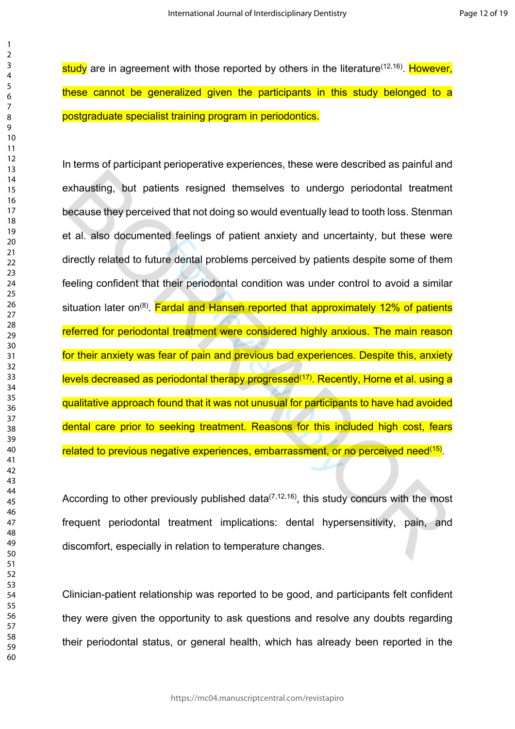study are in agreement with those reported by others in the literature  $(12,16)$ . However, these cannot be generalized given the participants in this study belonged to a postgraduate specialist training program in periodontics.

Example of patient anxiety and ance<br>
e dental problems perceived by patient<br>
heir periodontal condition was under c<br> **Internal and Hansen reported that approx**<br> **I** treatment were considered highly an:<br>
ar of pain and prev In terms of participant perioperative experiences, these were described as painful and exhausting, but patients resigned themselves to undergo periodontal treatment because they perceived that not doing so would eventually lead to tooth loss. Stenman et al. also documented feelings of patient anxiety and uncertainty, but these were directly related to future dental problems perceived by patients despite some of them feeling confident that their periodontal condition was under control to avoid a similar situation later on<sup>(8)</sup>. Fardal and Hansen reported that approximately 12% of patients referred for periodontal treatment were considered highly anxious. The main reason for their anxiety was fear of pain and previous bad experiences. Despite this, anxiety levels decreased as periodontal therapy progressed<sup>(17)</sup>. Recently, Horne et al. using a qualitative approach found that it was not unusual for participants to have had avoided dental care prior to seeking treatment. Reasons for this included high cost, fears related to previous negative experiences, embarrassment, or no perceived need<sup>(15)</sup>. exhausting, but patients resigned themselves to undergo periodontal treatment<br>because they perceived that not doing so would eventually lead to tooth loss. Stenman<br>t al. also documented feelings of patient anxiety and unce

According to other previously published data<sup> $(7,12,16)$ </sup>, this study concurs with the most frequent periodontal treatment implications: dental hypersensitivity, pain, and discomfort, especially in relation to temperature changes.

Clinician-patient relationship was reported to be good, and participants felt confident they were given the opportunity to ask questions and resolve any doubts regarding their periodontal status, or general health, which has already been reported in the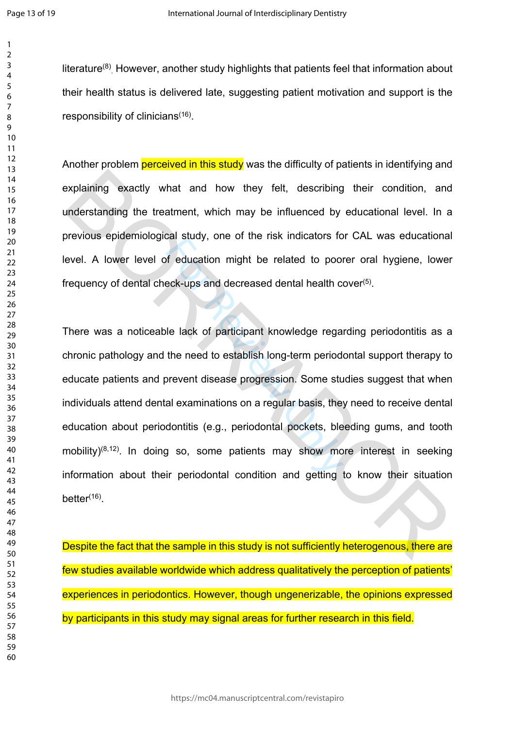$\mathbf{1}$  $\overline{2}$  $\overline{3}$ 

literature<sup>(8)</sup> However, another study highlights that patients feel that information about their health status is delivered late, suggesting patient motivation and support is the responsibility of clinicians<sup>(16)</sup>.

Another problem **perceived in this study** was the difficulty of patients in identifying and explaining exactly what and how they felt, describing their condition, and understanding the treatment, which may be influenced by educational level. In a previous epidemiological study, one of the risk indicators for CAL was educational level. A lower level of education might be related to poorer oral hygiene, lower frequency of dental check-ups and decreased dental health cover(5).

Example 1 state), one of the first materials is<br>formed to poor the first materials is<br>neck-ups and decreased dental health correct-ups and decreased dental health correct<br>le lack of participant knowledge regard<br>the need to There was a noticeable lack of participant knowledge regarding periodontitis as a chronic pathology and the need to establish long-term periodontal support therapy to educate patients and prevent disease progression. Some studies suggest that when individuals attend dental examinations on a regular basis, they need to receive dental education about periodontitis (e.g., periodontal pockets, bleeding gums, and tooth mobility)<sup>(8,12)</sup>. In doing so, some patients may show more interest in seeking information about their periodontal condition and getting to know their situation better $(16)$ . explaining exactly what and how they felt, describing their condition, and<br>anderstanding the treatment, which may be influenced by educational level. In a<br>brevious epidemiological study, one of the risk indicators for CAL

Despite the fact that the sample in this study is not sufficiently heterogenous, there are few studies available worldwide which address qualitatively the perception of patients' experiences in periodontics. However, though ungenerizable, the opinions expressed by participants in this study may signal areas for further research in this field.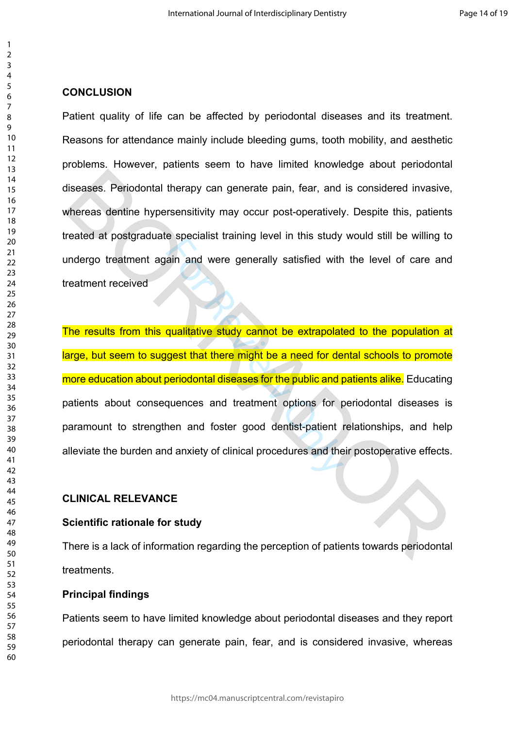## **CONCLUSION**

Patient quality of life can be affected by periodontal diseases and its treatment. Reasons for attendance mainly include bleeding gums, tooth mobility, and aesthetic problems. However, patients seem to have limited knowledge about periodontal diseases. Periodontal therapy can generate pain, fear, and is considered invasive, whereas dentine hypersensitivity may occur post-operatively. Despite this, patients treated at postgraduate specialist training level in this study would still be willing to undergo treatment again and were generally satisfied with the level of care and treatment received

For all and were generally satisfied with<br>ain and were generally satisfied with<br>qualitative study cannot be extrapolat<br>gest that there might be a need for de<br>periodontal diseases for the public and p<br>quences and treatment The results from this qualitative study cannot be extrapolated to the population at large, but seem to suggest that there might be a need for dental schools to promote more education about periodontal diseases for the public and patients alike. Educating patients about consequences and treatment options for periodontal diseases is paramount to strengthen and foster good dentist-patient relationships, and help alleviate the burden and anxiety of clinical procedures and their postoperative effects. diseases. Periodontal therapy can generate pain, fear, and is considered invasive,<br>whereas dentine hypersensitivity may occur post-operatively. Despite this, patients<br>reated at postgraduate specialist training level in thi

#### **CLINICAL RELEVANCE**

#### **Scientific rationale for study**

There is a lack of information regarding the perception of patients towards periodontal treatments.

## **Principal findings**

Patients seem to have limited knowledge about periodontal diseases and they report periodontal therapy can generate pain, fear, and is considered invasive, whereas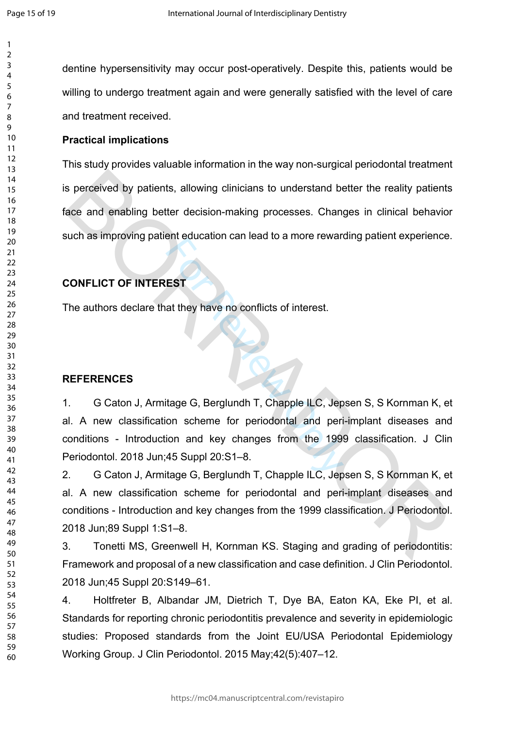dentine hypersensitivity may occur post-operatively. Despite this, patients would be willing to undergo treatment again and were generally satisfied with the level of care and treatment received.

## **Practical implications**

This study provides valuable information in the way non-surgical periodontal treatment is perceived by patients, allowing clinicians to understand better the reality patients face and enabling better decision-making processes. Changes in clinical behavior such as improving patient education can lead to a more rewarding patient experience. s perceived by patients, allowing clinicians to understand better the reality patients<br>ace and enabling better decision-making processes. Changes in clinical behavior<br>such as improving patient education can lead to a more

## **CONFLICT OF INTEREST**

The authors declare that they have no conflicts of interest.

#### **REFERENCES**

EST<br>at they have no conflicts of interest.<br>tage G, Berglundh T, Chapple ILC, Jep<br>on scheme for periodontal and perion and key changes from the 1994<br>45 Suppl 20:S1–8.<br>tage G, Berglundh T, Chapple ILC, Jep 1. G Caton J, Armitage G, Berglundh T, Chapple ILC, Jepsen S, S Kornman K, et al. A new classification scheme for periodontal and peri-implant diseases and conditions - Introduction and key changes from the 1999 classification. J Clin Periodontol. 2018 Jun;45 Suppl 20:S1–8.

2. G Caton J, Armitage G, Berglundh T, Chapple ILC, Jepsen S, S Kornman K, et al. A new classification scheme for periodontal and peri-implant diseases and conditions - Introduction and key changes from the 1999 classification. J Periodontol. 2018 Jun;89 Suppl 1:S1–8.

3. Tonetti MS, Greenwell H, Kornman KS. Staging and grading of periodontitis: Framework and proposal of a new classification and case definition. J Clin Periodontol. 2018 Jun;45 Suppl 20:S149–61.

4. Holtfreter B, Albandar JM, Dietrich T, Dye BA, Eaton KA, Eke PI, et al. Standards for reporting chronic periodontitis prevalence and severity in epidemiologic studies: Proposed standards from the Joint EU/USA Periodontal Epidemiology Working Group. J Clin Periodontol. 2015 May;42(5):407–12.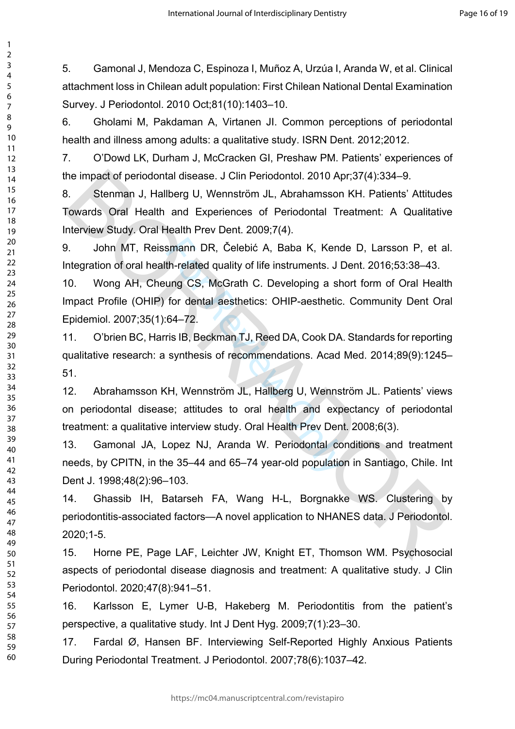5. Gamonal J, Mendoza C, Espinoza I, Muñoz A, Urzúa I, Aranda W, et al. Clinical attachment loss in Chilean adult population: First Chilean National Dental Examination Survey. J Periodontol. 2010 Oct;81(10):1403–10.

6. Gholami M, Pakdaman A, Virtanen JI. Common perceptions of periodontal health and illness among adults: a qualitative study. ISRN Dent. 2012;2012.

7. O'Dowd LK, Durham J, McCracken GI, Preshaw PM. Patients' experiences of the impact of periodontal disease. J Clin Periodontol. 2010 Apr;37(4):334–9.

8. Stenman J, Hallberg U, Wennström JL, Abrahamsson KH. Patients' Attitudes Towards Oral Health and Experiences of Periodontal Treatment: A Qualitative Interview Study. Oral Health Prev Dent. 2009;7(4). he impact of periodontal disease. J Clin Periodontol. 2010 Apr;37(4):334–9.<br>
S. Stenman J, Hallberg U, Wennström JL, Abrahamsson KH. Patients' Attitudes<br>
Towards Oral Health and Experiences of Periodontal Treatment: A Qual

9. John MT, Reissmann DR, Čelebić A, Baba K, Kende D, Larsson P, et al. Integration of oral health-related quality of life instruments. J Dent. 2016;53:38–43.

smann DR, Čelebić A, Baba K, Kenc<br>th-related quality of life instruments. J I<br>ung CS, McGrath C. Developing a sh<br>for dental aesthetics: OHIP-aesthetic.<br>64–72.<br>ris IB, Beckman TJ, Reed DA, Cook DA<br>synthesis of recommendatio 10. Wong AH, Cheung CS, McGrath C. Developing a short form of Oral Health Impact Profile (OHIP) for dental aesthetics: OHIP-aesthetic. Community Dent Oral Epidemiol. 2007;35(1):64–72.

11. O'brien BC, Harris IB, Beckman TJ, Reed DA, Cook DA. Standards for reporting qualitative research: a synthesis of recommendations. Acad Med. 2014;89(9):1245– 51.

12. Abrahamsson KH, Wennström JL, Hallberg U, Wennström JL. Patients' views on periodontal disease; attitudes to oral health and expectancy of periodontal treatment: a qualitative interview study. Oral Health Prev Dent. 2008;6(3).

13. Gamonal JA, Lopez NJ, Aranda W. Periodontal conditions and treatment needs, by CPITN, in the 35–44 and 65–74 year-old population in Santiago, Chile. Int Dent J. 1998;48(2):96–103.

14. Ghassib IH, Batarseh FA, Wang H-L, Borgnakke WS. Clustering by periodontitis-associated factors—A novel application to NHANES data. J Periodontol. 2020;1-5.

15. Horne PE, Page LAF, Leichter JW, Knight ET, Thomson WM. Psychosocial aspects of periodontal disease diagnosis and treatment: A qualitative study. J Clin Periodontol. 2020;47(8):941–51.

16. Karlsson E, Lymer U-B, Hakeberg M. Periodontitis from the patient's perspective, a qualitative study. Int J Dent Hyg. 2009;7(1):23–30.

17. Fardal Ø, Hansen BF. Interviewing Self-Reported Highly Anxious Patients During Periodontal Treatment. J Periodontol. 2007;78(6):1037–42.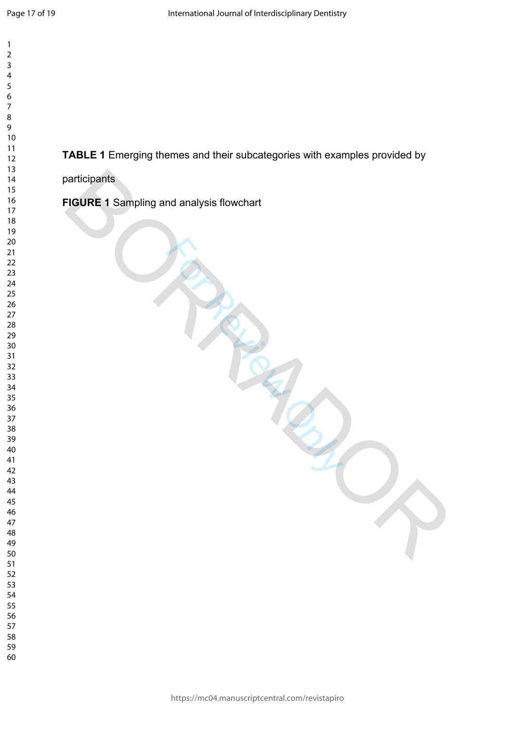$\mathbf{1}$  $\overline{2}$  $\overline{3}$  $\overline{4}$  $\overline{7}$ 

# **TABLE 1** Emerging themes and their subcategories with examples provided by

From Review Only

participants

**FIGURE 1** Sampling and analysis flowchart PIGURE 1 Sampling and analysis flowchart<br>All Sampling and analysis flowchart<br>All Sampling and analysis flowchart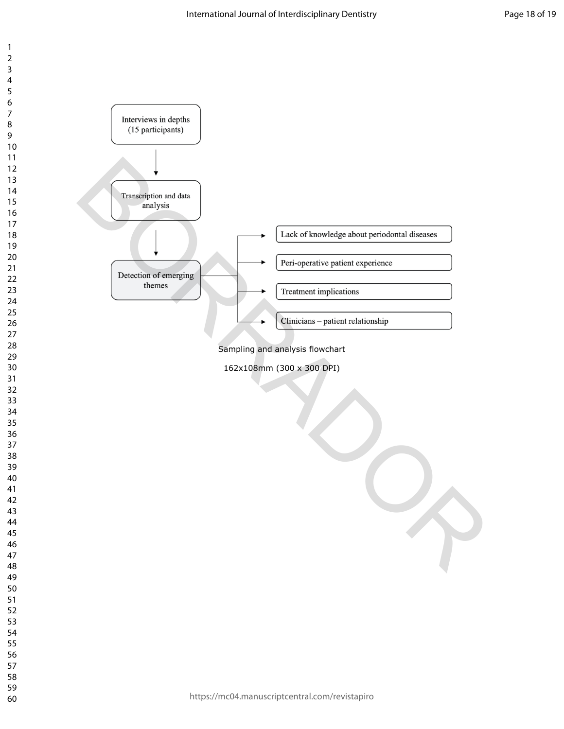